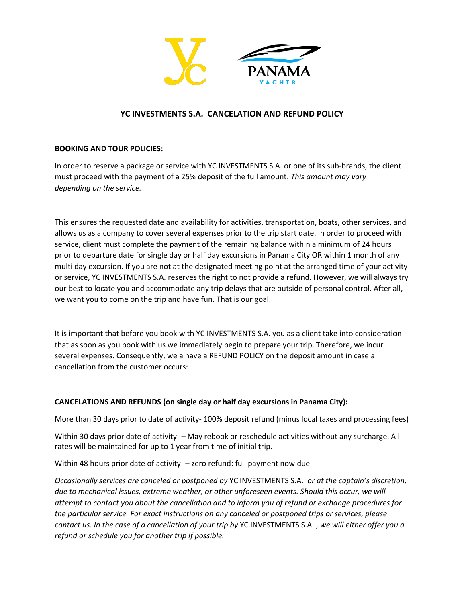

# **YC INVESTMENTS S.A. CANCELATION AND REFUND POLICY**

## **BOOKING AND TOUR POLICIES:**

In order to reserve a package or service with YC INVESTMENTS S.A. or one of its sub-brands, the client must proceed with the payment of a 25% deposit of the full amount. *This amount may vary depending on the service.*

This ensures the requested date and availability for activities, transportation, boats, other services, and allows us as a company to cover several expenses prior to the trip start date. In order to proceed with service, client must complete the payment of the remaining balance within a minimum of 24 hours prior to departure date for single day or half day excursions in Panama City OR within 1 month of any multi day excursion. If you are not at the designated meeting point at the arranged time of your activity or service, YC INVESTMENTS S.A. reserves the right to not provide a refund. However, we will always try our best to locate you and accommodate any trip delays that are outside of personal control. After all, we want you to come on the trip and have fun. That is our goal.

It is important that before you book with YC INVESTMENTS S.A. you as a client take into consideration that as soon as you book with us we immediately begin to prepare your trip. Therefore, we incur several expenses. Consequently, we a have a REFUND POLICY on the deposit amount in case a cancellation from the customer occurs:

### **CANCELATIONS AND REFUNDS (on single day or half day excursions in Panama City):**

More than 30 days prior to date of activity- 100% deposit refund (minus local taxes and processing fees)

Within 30 days prior date of activity- – May rebook or reschedule activities without any surcharge. All rates will be maintained for up to 1 year from time of initial trip.

Within 48 hours prior date of activity- – zero refund: full payment now due

*Occasionally services are canceled or postponed by* YC INVESTMENTS S.A. *or at the captain's discretion, due to mechanical issues, extreme weather, or other unforeseen events. Should this occur, we will attempt to contact you about the cancellation and to inform you of refund or exchange procedures for the particular service. For exact instructions on any canceled or postponed trips or services, please contact us. In the case of a cancellation of your trip by* YC INVESTMENTS S.A. , *we will either offer you a refund or schedule you for another trip if possible.*